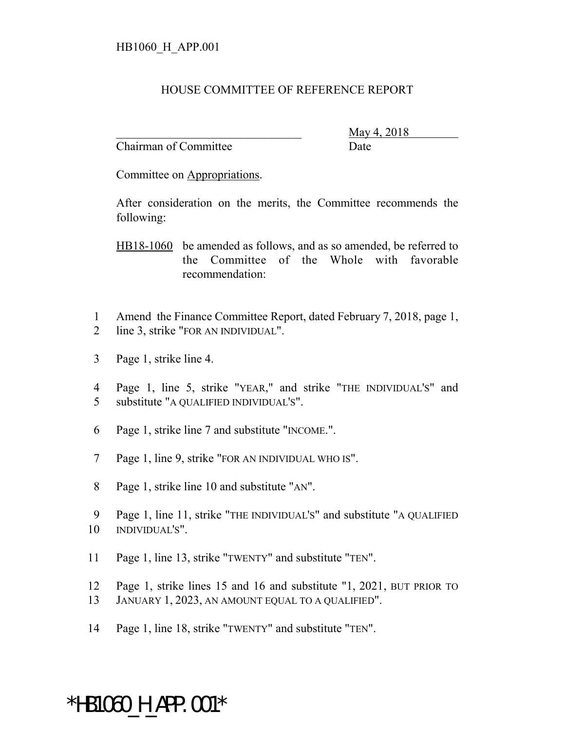## HOUSE COMMITTEE OF REFERENCE REPORT

Chairman of Committee Date

\_\_\_\_\_\_\_\_\_\_\_\_\_\_\_\_\_\_\_\_\_\_\_\_\_\_\_\_\_\_\_ May 4, 2018

Committee on Appropriations.

After consideration on the merits, the Committee recommends the following:

HB18-1060 be amended as follows, and as so amended, be referred to the Committee of the Whole with favorable recommendation:

- 1 Amend the Finance Committee Report, dated February 7, 2018, page 1, 2 line 3, strike "FOR AN INDIVIDUAL".
- 3 Page 1, strike line 4.
- 4 Page 1, line 5, strike "YEAR," and strike "THE INDIVIDUAL'S" and 5 substitute "A QUALIFIED INDIVIDUAL'S".
- 6 Page 1, strike line 7 and substitute "INCOME.".
- 7 Page 1, line 9, strike "FOR AN INDIVIDUAL WHO IS".
- 8 Page 1, strike line 10 and substitute "AN".
- 9 Page 1, line 11, strike "THE INDIVIDUAL'S" and substitute "A QUALIFIED 10 INDIVIDUAL'S".
- 11 Page 1, line 13, strike "TWENTY" and substitute "TEN".
- 12 Page 1, strike lines 15 and 16 and substitute "1, 2021, BUT PRIOR TO
- 13 JANUARY 1, 2023, AN AMOUNT EQUAL TO A QUALIFIED".
- 14 Page 1, line 18, strike "TWENTY" and substitute "TEN".

## \*HB1060\_H\_APP.001\*